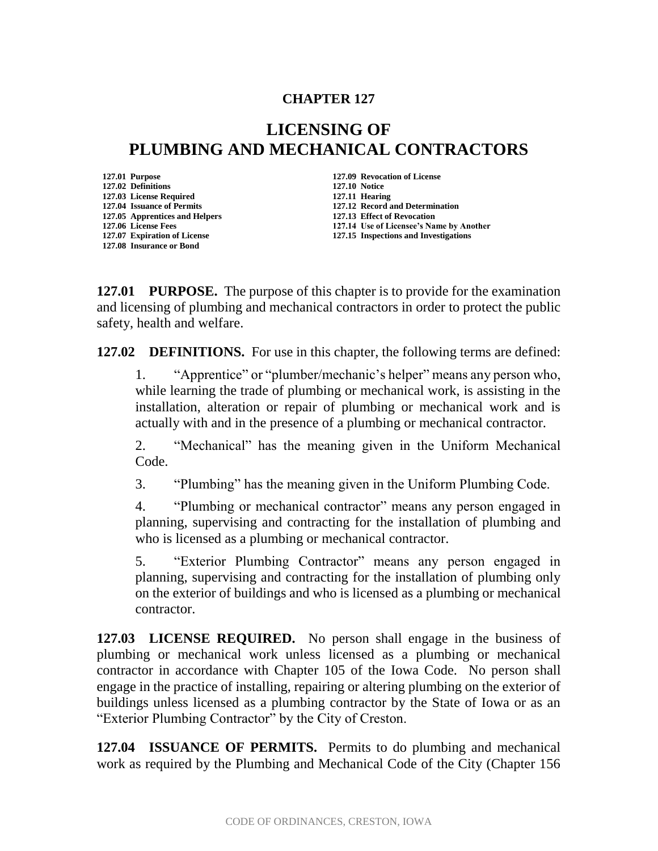## **CHAPTER 127**

## **LICENSING OF PLUMBING AND MECHANICAL CONTRACTORS**

**127.01 Purpose 127.09 Revocation of License 127.02 Definitions 127.10 Notice 127.03 License Required 127.11 Hearing 127.05 Apprentices and Helpers 127.13 Effect of Revocation 127.08 Insurance or Bond**

**127.04 Issuance of Permits 127.12 Record and Determination 127.06 License Fees 127.14 Use of Licensee's Name by Another 127.15 Inspections and Investigations** 

**127.01 PURPOSE.** The purpose of this chapter is to provide for the examination and licensing of plumbing and mechanical contractors in order to protect the public safety, health and welfare.

**127.02 DEFINITIONS.** For use in this chapter, the following terms are defined:

1. "Apprentice" or "plumber/mechanic's helper" means any person who, while learning the trade of plumbing or mechanical work, is assisting in the installation, alteration or repair of plumbing or mechanical work and is actually with and in the presence of a plumbing or mechanical contractor.

2. "Mechanical" has the meaning given in the Uniform Mechanical Code.

3. "Plumbing" has the meaning given in the Uniform Plumbing Code.

4. "Plumbing or mechanical contractor" means any person engaged in planning, supervising and contracting for the installation of plumbing and who is licensed as a plumbing or mechanical contractor.

5. "Exterior Plumbing Contractor" means any person engaged in planning, supervising and contracting for the installation of plumbing only on the exterior of buildings and who is licensed as a plumbing or mechanical contractor.

**127.03 LICENSE REQUIRED.** No person shall engage in the business of plumbing or mechanical work unless licensed as a plumbing or mechanical contractor in accordance with Chapter 105 of the Iowa Code. No person shall engage in the practice of installing, repairing or altering plumbing on the exterior of buildings unless licensed as a plumbing contractor by the State of Iowa or as an "Exterior Plumbing Contractor" by the City of Creston.

**127.04 ISSUANCE OF PERMITS.** Permits to do plumbing and mechanical work as required by the Plumbing and Mechanical Code of the City (Chapter 156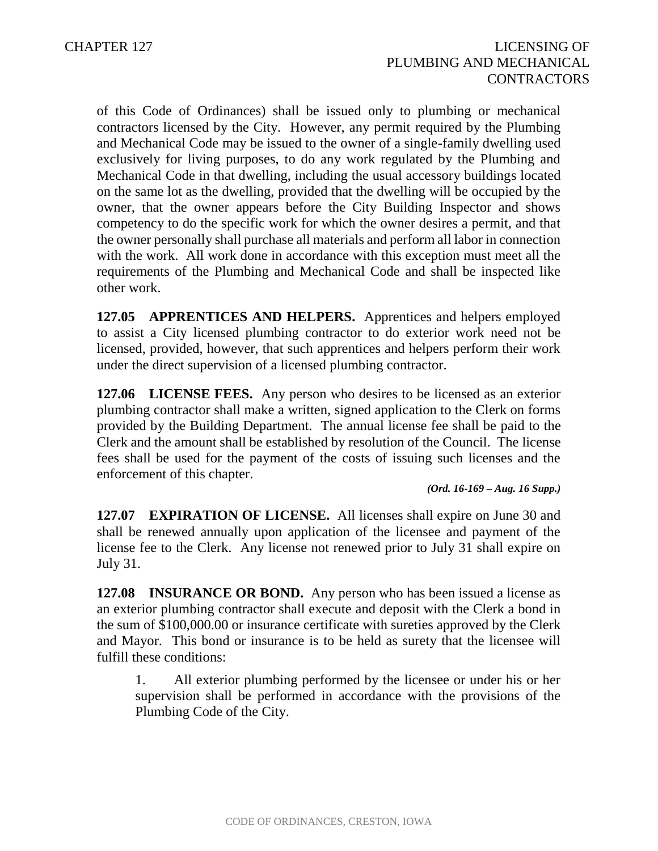of this Code of Ordinances) shall be issued only to plumbing or mechanical contractors licensed by the City. However, any permit required by the Plumbing and Mechanical Code may be issued to the owner of a single-family dwelling used exclusively for living purposes, to do any work regulated by the Plumbing and Mechanical Code in that dwelling, including the usual accessory buildings located on the same lot as the dwelling, provided that the dwelling will be occupied by the owner, that the owner appears before the City Building Inspector and shows competency to do the specific work for which the owner desires a permit, and that the owner personally shall purchase all materials and perform all labor in connection with the work. All work done in accordance with this exception must meet all the requirements of the Plumbing and Mechanical Code and shall be inspected like other work.

**127.05 APPRENTICES AND HELPERS.** Apprentices and helpers employed to assist a City licensed plumbing contractor to do exterior work need not be licensed, provided, however, that such apprentices and helpers perform their work under the direct supervision of a licensed plumbing contractor.

**127.06 LICENSE FEES.** Any person who desires to be licensed as an exterior plumbing contractor shall make a written, signed application to the Clerk on forms provided by the Building Department. The annual license fee shall be paid to the Clerk and the amount shall be established by resolution of the Council. The license fees shall be used for the payment of the costs of issuing such licenses and the enforcement of this chapter.

*(Ord. 16-169 – Aug. 16 Supp.)*

**127.07 EXPIRATION OF LICENSE.** All licenses shall expire on June 30 and shall be renewed annually upon application of the licensee and payment of the license fee to the Clerk. Any license not renewed prior to July 31 shall expire on July 31.

**127.08 INSURANCE OR BOND.** Any person who has been issued a license as an exterior plumbing contractor shall execute and deposit with the Clerk a bond in the sum of \$100,000.00 or insurance certificate with sureties approved by the Clerk and Mayor. This bond or insurance is to be held as surety that the licensee will fulfill these conditions:

1. All exterior plumbing performed by the licensee or under his or her supervision shall be performed in accordance with the provisions of the Plumbing Code of the City.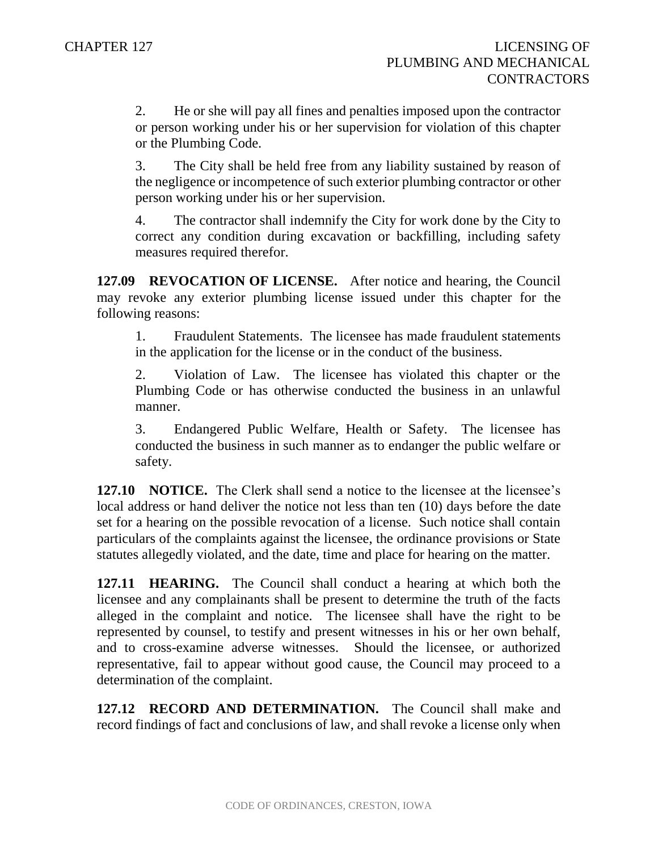2. He or she will pay all fines and penalties imposed upon the contractor or person working under his or her supervision for violation of this chapter or the Plumbing Code.

3. The City shall be held free from any liability sustained by reason of the negligence or incompetence of such exterior plumbing contractor or other person working under his or her supervision.

4. The contractor shall indemnify the City for work done by the City to correct any condition during excavation or backfilling, including safety measures required therefor.

**127.09 REVOCATION OF LICENSE.** After notice and hearing, the Council may revoke any exterior plumbing license issued under this chapter for the following reasons:

1. Fraudulent Statements. The licensee has made fraudulent statements in the application for the license or in the conduct of the business.

2. Violation of Law. The licensee has violated this chapter or the Plumbing Code or has otherwise conducted the business in an unlawful manner.

3. Endangered Public Welfare, Health or Safety. The licensee has conducted the business in such manner as to endanger the public welfare or safety.

**127.10 NOTICE.** The Clerk shall send a notice to the licensee at the licensee's local address or hand deliver the notice not less than ten (10) days before the date set for a hearing on the possible revocation of a license. Such notice shall contain particulars of the complaints against the licensee, the ordinance provisions or State statutes allegedly violated, and the date, time and place for hearing on the matter.

**127.11 HEARING.** The Council shall conduct a hearing at which both the licensee and any complainants shall be present to determine the truth of the facts alleged in the complaint and notice. The licensee shall have the right to be represented by counsel, to testify and present witnesses in his or her own behalf, and to cross-examine adverse witnesses. Should the licensee, or authorized representative, fail to appear without good cause, the Council may proceed to a determination of the complaint.

**127.12 RECORD AND DETERMINATION.** The Council shall make and record findings of fact and conclusions of law, and shall revoke a license only when